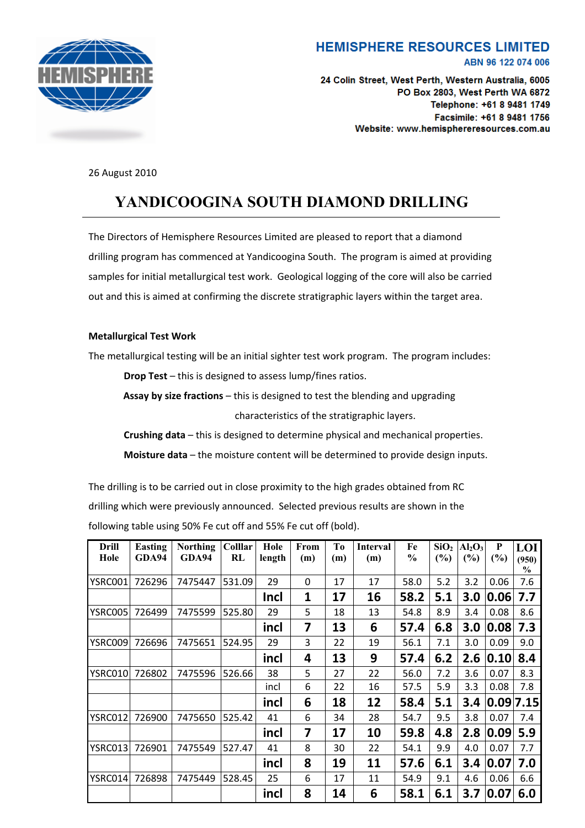

## **HEMISPHERE RESOURCES LIMITED** ABN 96 122 074 006

24 Colin Street, West Perth, Western Australia, 6005 PO Box 2803, West Perth WA 6872 Telephone: +61 8 9481 1749 Facsimile: +61 8 9481 1756 Website: www.hemisphereresources.com.au

26 August 2010

## **YANDICOOGINA SOUTH DIAMOND DRILLING**

The Directors of Hemisphere Resources Limited are pleased to report that a diamond drilling program has commenced at Yandicoogina South. The program is aimed at providing samples for initial metallurgical test work. Geological logging of the core will also be carried out and this is aimed at confirming the discrete stratigraphic layers within the target area.

## **Metallurgical Test Work**

The metallurgical testing will be an initial sighter test work program. The program includes:

**Drop Test** – this is designed to assess lump/fines ratios.

**Assay by size fractions** – this is designed to test the blending and upgrading characteristics of the stratigraphic layers.

**Crushing data** – this is designed to determine physical and mechanical properties.

**Moisture data** – the moisture content will be determined to provide design inputs.

The drilling is to be carried out in close proximity to the high grades obtained from RC drilling which were previously announced. Selected previous results are shown in the following table using 50% Fe cut off and 55% Fe cut off (bold).

| Drill   | Easting | <b>Northing</b> | <b>Colllar</b> | Hole        | From | To  | <b>Interval</b> | Fe            | SiO <sub>2</sub> | Al <sub>2</sub> O <sub>3</sub> | P         | LOI           |
|---------|---------|-----------------|----------------|-------------|------|-----|-----------------|---------------|------------------|--------------------------------|-----------|---------------|
| Hole    | GDA94   | GDA94           | RL             | length      | (m)  | (m) | (m)             | $\frac{0}{0}$ | (%)              | $(\%)$                         | (%)       | (950)         |
|         |         |                 |                |             |      |     |                 |               |                  |                                |           | $\frac{0}{0}$ |
| YSRC001 | 726296  | 7475447         | 531.09         | 29          | 0    | 17  | 17              | 58.0          | 5.2              | 3.2                            | 0.06      | 7.6           |
|         |         |                 |                | <b>Incl</b> | 1    | 17  | 16              | 58.2          | 5.1              | 3.0                            | 0.06      | 7.7           |
| YSRC005 | 726499  | 7475599         | 525.80         | 29          | 5    | 18  | 13              | 54.8          | 8.9              | 3.4                            | 0.08      | 8.6           |
|         |         |                 |                | incl        | 7    | 13  | 6               | 57.4          | 6.8              | 3.0                            | 0.08      | 7.3           |
| YSRC009 | 726696  | 7475651         | 524.95         | 29          | 3    | 22  | 19              | 56.1          | 7.1              | 3.0                            | 0.09      | 9.0           |
|         |         |                 |                | incl        | 4    | 13  | 9               | 57.4          | 6.2              | 2.6                            | 0.10      | 8.4           |
| YSRC010 | 726802  | 7475596         | 526.66         | 38          | 5    | 27  | 22              | 56.0          | 7.2              | 3.6                            | 0.07      | 8.3           |
|         |         |                 |                | incl        | 6    | 22  | 16              | 57.5          | 5.9              | 3.3                            | 0.08      | 7.8           |
|         |         |                 |                | incl        | 6    | 18  | 12              | 58.4          | 5.1              | 3.4                            | 0.09 7.15 |               |
| YSRC012 | 726900  | 7475650         | 525.42         | 41          | 6    | 34  | 28              | 54.7          | 9.5              | 3.8                            | 0.07      | 7.4           |
|         |         |                 |                | incl        | 7    | 17  | 10              | 59.8          | 4.8              | 2.8                            | 0.09      | 5.9           |
| YSRC013 | 726901  | 7475549         | 527.47         | 41          | 8    | 30  | 22              | 54.1          | 9.9              | 4.0                            | 0.07      | 7.7           |
|         |         |                 |                | incl        | 8    | 19  | 11              | 57.6          | 6.1              | 3.4                            | 0.07      | 7.0           |
| YSRC014 | 726898  | 7475449         | 528.45         | 25          | 6    | 17  | 11              | 54.9          | 9.1              | 4.6                            | 0.06      | 6.6           |
|         |         |                 |                | incl        | 8    | 14  | 6               | 58.1          | 6.1              | 3.7                            | 0.07      | 6.0           |